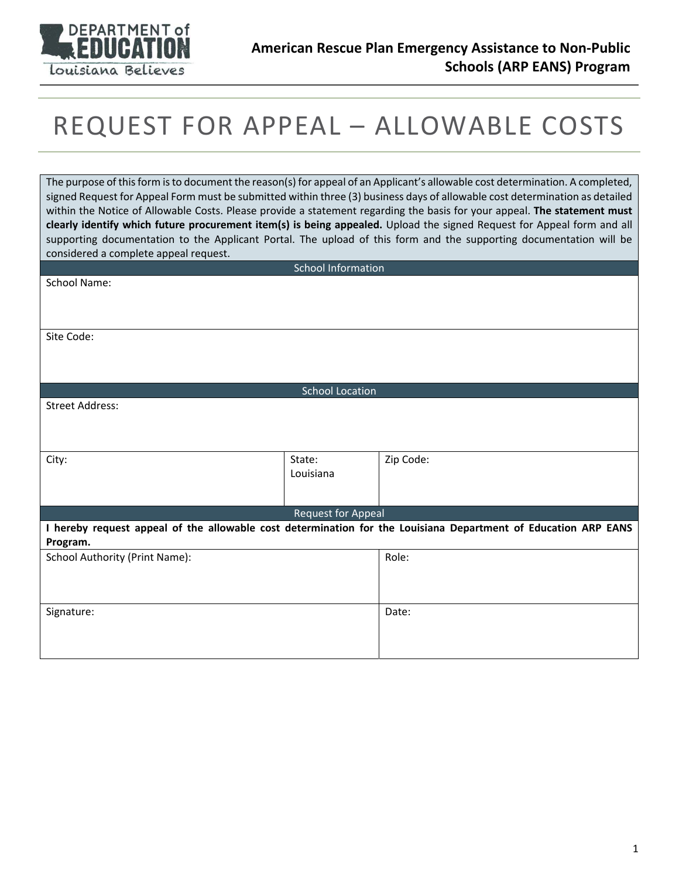

## REQUEST FOR APPEAL – ALLOWABLE COSTS

The purpose of this form is to document the reason(s) for appeal of an Applicant's allowable cost determination. A completed, signed Request for Appeal Form must be submitted within three (3) business days of allowable cost determination as detailed within the Notice of Allowable Costs. Please provide a statement regarding the basis for your appeal. **The statement must clearly identify which future procurement item(s) is being appealed.** Upload the signed Request for Appeal form and all supporting documentation to the Applicant Portal. The upload of this form and the supporting documentation will be considered a complete appeal request.

| <b>School Information</b>                                                                                      |           |           |
|----------------------------------------------------------------------------------------------------------------|-----------|-----------|
| School Name:                                                                                                   |           |           |
|                                                                                                                |           |           |
|                                                                                                                |           |           |
| Site Code:                                                                                                     |           |           |
|                                                                                                                |           |           |
|                                                                                                                |           |           |
|                                                                                                                |           |           |
| <b>School Location</b>                                                                                         |           |           |
| <b>Street Address:</b>                                                                                         |           |           |
|                                                                                                                |           |           |
|                                                                                                                |           |           |
| City:                                                                                                          | State:    | Zip Code: |
|                                                                                                                | Louisiana |           |
|                                                                                                                |           |           |
|                                                                                                                |           |           |
| <b>Request for Appeal</b>                                                                                      |           |           |
| I hereby request appeal of the allowable cost determination for the Louisiana Department of Education ARP EANS |           |           |
| Program.                                                                                                       |           |           |
| School Authority (Print Name):                                                                                 |           | Role:     |
|                                                                                                                |           |           |
|                                                                                                                |           |           |
| Signature:                                                                                                     |           | Date:     |
|                                                                                                                |           |           |
|                                                                                                                |           |           |
|                                                                                                                |           |           |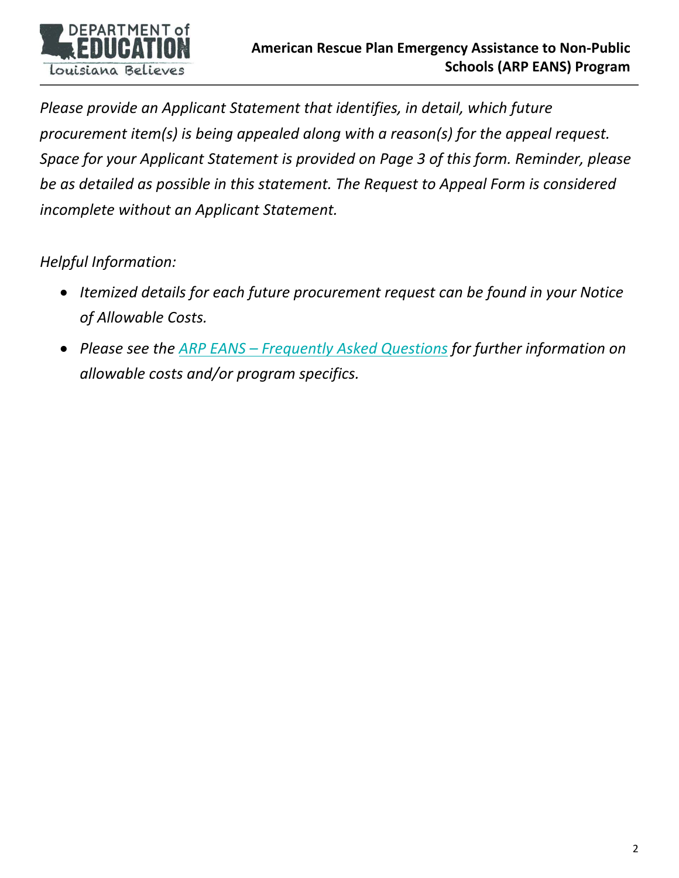

*Please provide an Applicant Statement that identifies, in detail, which future procurement item(s) is being appealed along with a reason(s) for the appeal request. Space for your Applicant Statement is provided on Page 3 of this form. Reminder, please be as detailed as possible in this statement. The Request to Appeal Form is considered incomplete without an Applicant Statement.* 

## *Helpful Information:*

- *Itemized details for each future procurement request can be found in your Notice of Allowable Costs.*
- *Please see the ARP EANS Frequently Asked Questions for further information on allowable costs and/or program specifics.*